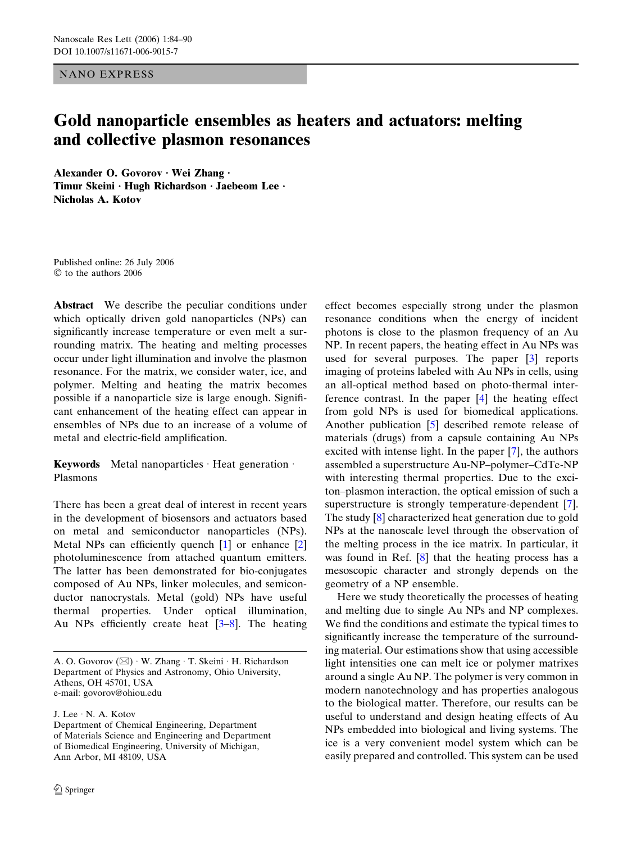NANO EXPRESS

# Gold nanoparticle ensembles as heaters and actuators: melting and collective plasmon resonances

Alexander O. Govorov · Wei Zhang · Timur Skeini · Hugh Richardson · Jaebeom Lee · Nicholas A. Kotov

Published online: 26 July 2006  $\heartsuit$  to the authors 2006

Abstract We describe the peculiar conditions under which optically driven gold nanoparticles (NPs) can significantly increase temperature or even melt a surrounding matrix. The heating and melting processes occur under light illumination and involve the plasmon resonance. For the matrix, we consider water, ice, and polymer. Melting and heating the matrix becomes possible if a nanoparticle size is large enough. Significant enhancement of the heating effect can appear in ensembles of NPs due to an increase of a volume of metal and electric-field amplification.

Keywords Metal nanoparticles  $\cdot$  Heat generation  $\cdot$ Plasmons

There has been a great deal of interest in recent years in the development of biosensors and actuators based on metal and semiconductor nanoparticles (NPs). Metal NPs can efficiently quench [\[1](#page-6-0)] or enhance [\[2](#page-6-0)] photoluminescence from attached quantum emitters. The latter has been demonstrated for bio-conjugates composed of Au NPs, linker molecules, and semiconductor nanocrystals. Metal (gold) NPs have useful thermal properties. Under optical illumination, Au NPs efficiently create heat  $[3-8]$ . The heating

J. Lee  $\cdot$  N. A. Kotov

effect becomes especially strong under the plasmon resonance conditions when the energy of incident photons is close to the plasmon frequency of an Au NP. In recent papers, the heating effect in Au NPs was used for several purposes. The paper [\[3](#page-6-0)] reports imaging of proteins labeled with Au NPs in cells, using an all-optical method based on photo-thermal interference contrast. In the paper [\[4](#page-6-0)] the heating effect from gold NPs is used for biomedical applications. Another publication [\[5](#page-6-0)] described remote release of materials (drugs) from a capsule containing Au NPs excited with intense light. In the paper [[7\]](#page-6-0), the authors assembled a superstructure Au-NP–polymer–CdTe-NP with interesting thermal properties. Due to the exciton–plasmon interaction, the optical emission of such a superstructure is strongly temperature-dependent [[7\]](#page-6-0). The study [[8\]](#page-6-0) characterized heat generation due to gold NPs at the nanoscale level through the observation of the melting process in the ice matrix. In particular, it was found in Ref. [[8\]](#page-6-0) that the heating process has a mesoscopic character and strongly depends on the geometry of a NP ensemble.

Here we study theoretically the processes of heating and melting due to single Au NPs and NP complexes. We find the conditions and estimate the typical times to significantly increase the temperature of the surrounding material. Our estimations show that using accessible light intensities one can melt ice or polymer matrixes around a single Au NP. The polymer is very common in modern nanotechnology and has properties analogous to the biological matter. Therefore, our results can be useful to understand and design heating effects of Au NPs embedded into biological and living systems. The ice is a very convenient model system which can be easily prepared and controlled. This system can be used

A. O. Govorov (⊠) · W. Zhang · T. Skeini · H. Richardson Department of Physics and Astronomy, Ohio University, Athens, OH 45701, USA e-mail: govorov@ohiou.edu

Department of Chemical Engineering, Department of Materials Science and Engineering and Department of Biomedical Engineering, University of Michigan, Ann Arbor, MI 48109, USA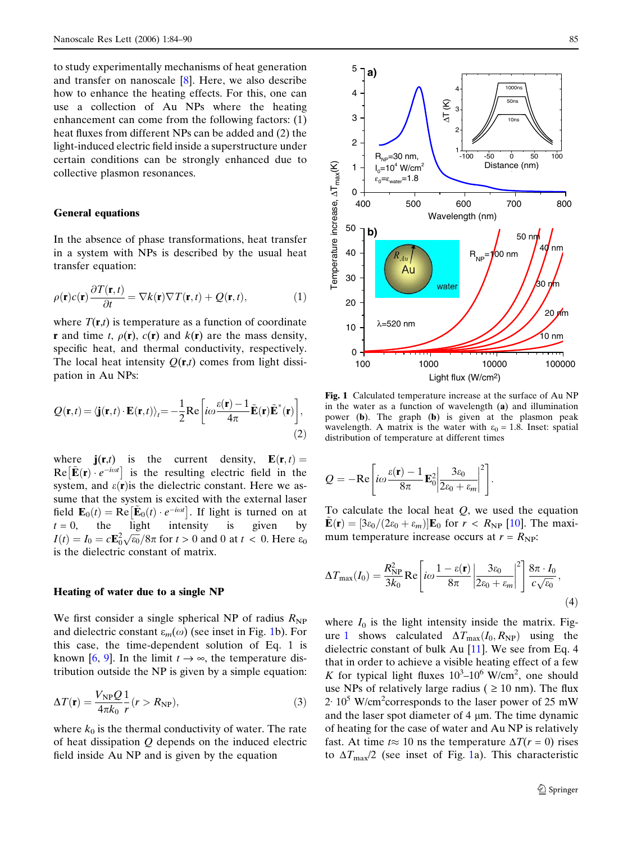to study experimentally mechanisms of heat generation and transfer on nanoscale [\[8](#page-6-0)]. Here, we also describe how to enhance the heating effects. For this, one can use a collection of Au NPs where the heating enhancement can come from the following factors: (1) heat fluxes from different NPs can be added and (2) the light-induced electric field inside a superstructure under certain conditions can be strongly enhanced due to collective plasmon resonances.

#### General equations

In the absence of phase transformations, heat transfer in a system with NPs is described by the usual heat transfer equation:

$$
\rho(\mathbf{r})c(\mathbf{r})\frac{\partial T(\mathbf{r},t)}{\partial t} = \nabla k(\mathbf{r})\nabla T(\mathbf{r},t) + Q(\mathbf{r},t),\tag{1}
$$

where  $T(\mathbf{r},t)$  is temperature as a function of coordinate **r** and time t,  $\rho(\mathbf{r})$ ,  $c(\mathbf{r})$  and  $k(\mathbf{r})$  are the mass density, specific heat, and thermal conductivity, respectively. The local heat intensity  $Q(\mathbf{r},t)$  comes from light dissipation in Au NPs:

$$
Q(\mathbf{r},t) = \langle \mathbf{j}(\mathbf{r},t) \cdot \mathbf{E}(\mathbf{r},t) \rangle_t = -\frac{1}{2} \text{Re} \left[ i\omega \frac{\varepsilon(\mathbf{r}) - 1}{4\pi} \tilde{\mathbf{E}}(\mathbf{r}) \tilde{\mathbf{E}}^*(\mathbf{r}) \right],
$$
\n(2)

where  $\mathbf{j}(\mathbf{r},t)$  is the current density,  $\mathbf{E}(\mathbf{r},t) =$ Re  $[\tilde{\mathbf{E}}(\mathbf{r}) \cdot e^{-i\omega t}]$  is the resulting electric field in the system, and  $\varepsilon(\mathbf{r})$  is the dielectric constant. Here we assume that the system is excited with the external laser field  $\mathbf{E}_0(t) = \text{Re}[\tilde{\mathbf{E}}_0(t) \cdot e^{-i\omega t}]$ . If light is turned on at  $t = 0$ , the light intensity is given by  $I(t) = I_0 = c \mathbf{E}_0^2 \sqrt{\epsilon_0} / 8\pi$  for  $t > 0$  and 0 at  $t < 0$ . Here  $\epsilon_0$ is the dielectric constant of matrix.

# Heating of water due to a single NP

We first consider a single spherical NP of radius  $R_{\text{NP}}$ and dielectric constant  $\varepsilon_m(\omega)$  (see inset in Fig. 1b). For this case, the time-dependent solution of Eq. 1 is known [[6,](#page-6-0) [9\]](#page-6-0). In the limit  $t \to \infty$ , the temperature distribution outside the NP is given by a simple equation:

$$
\Delta T(\mathbf{r}) = \frac{V_{\rm NP} Q}{4\pi k_0} \frac{1}{r} (r > R_{\rm NP}),\tag{3}
$$

where  $k_0$  is the thermal conductivity of water. The rate of heat dissipation  $Q$  depends on the induced electric field inside Au NP and is given by the equation



Fig. 1 Calculated temperature increase at the surface of Au NP in the water as a function of wavelength (a) and illumination power (b). The graph (b) is given at the plasmon peak wavelength. A matrix is the water with  $\varepsilon_0 = 1.8$ . Inset: spatial distribution of temperature at different times

$$
Q = -\mathrm{Re}\left[i\omega \frac{\varepsilon(\mathbf{r}) - 1}{8\pi} \mathbf{E}_0^2 \left| \frac{3\varepsilon_0}{2\varepsilon_0 + \varepsilon_m}\right|^2\right].
$$

To calculate the local heat  $Q$ , we used the equation  $\mathbf{E}(\mathbf{r}) = [3\varepsilon_0/(2\varepsilon_0 + \varepsilon_m)]\mathbf{E}_0$  for  $r < R_{\text{NP}}$  [[10\]](#page-6-0). The maximum temperature increase occurs at  $r = R_{\text{NP}}$ :

$$
\Delta T_{\text{max}}(I_0) = \frac{R_{\text{NP}}^2}{3k_0} \text{Re}\left[i\omega \frac{1 - \varepsilon(\mathbf{r})}{8\pi} \left| \frac{3\varepsilon_0}{2\varepsilon_0 + \varepsilon_m} \right|^2 \right] \frac{8\pi \cdot I_0}{c\sqrt{\varepsilon_0}},\tag{4}
$$

where  $I_0$  is the light intensity inside the matrix. Figure 1 shows calculated  $\Delta T_{\text{max}}(I_0, R_{\text{NP}})$  using the dielectric constant of bulk Au [[11\]](#page-6-0). We see from Eq. 4 that in order to achieve a visible heating effect of a few K for typical light fluxes  $10^3 - 10^6$  W/cm<sup>2</sup>, one should use NPs of relatively large radius ( $\geq 10$  nm). The flux  $2.10^5$  W/cm<sup>2</sup> corresponds to the laser power of 25 mW and the laser spot diameter of  $4 \mu m$ . The time dynamic of heating for the case of water and Au NP is relatively fast. At time  $t \approx 10$  ns the temperature  $\Delta T(r = 0)$  rises to  $\Delta T_{\text{max}}/2$  (see inset of Fig. 1a). This characteristic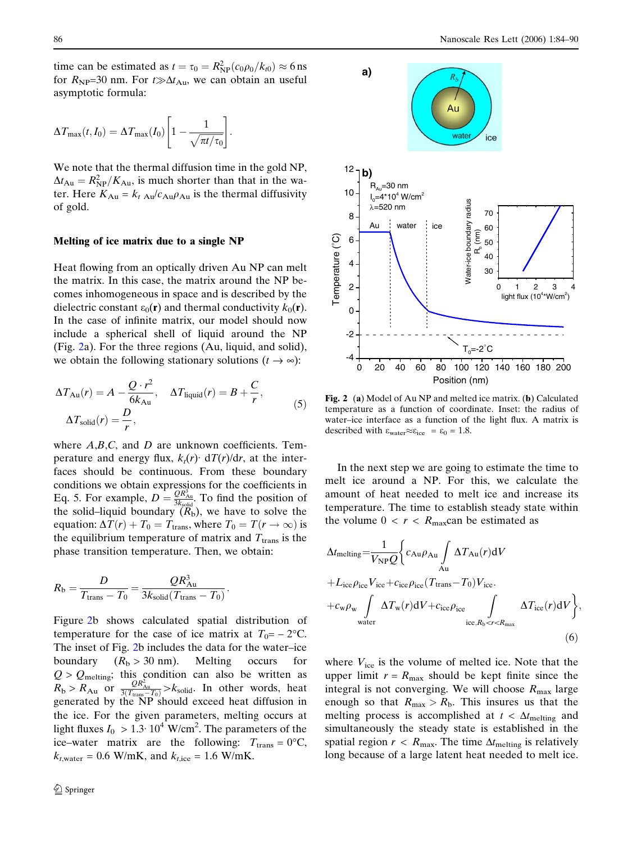time can be estimated as  $t = \tau_0 = R_{\rm NP}^2 (c_0 \rho_0 / k_{t0}) \approx 6 \text{ ns}$ for  $R_{NP}$ =30 nm. For  $t \gg \Delta t_{Au}$ , we can obtain an useful asymptotic formula:

$$
\Delta T_{\max}(t, I_0) = \Delta T_{\max}(I_0) \left[1 - \frac{1}{\sqrt{\pi t/\tau_0}}\right].
$$

We note that the thermal diffusion time in the gold NP,  $\Delta t_{\rm Au} = R_{\rm NP}^2/K_{\rm Au}$ , is much shorter than that in the water. Here  $K_{\text{Au}} = k_t \frac{A_u}{C_{\text{Au}}} \rho_{\text{Au}}$  is the thermal diffusivity of gold.

# Melting of ice matrix due to a single NP

Heat flowing from an optically driven Au NP can melt the matrix. In this case, the matrix around the NP becomes inhomogeneous in space and is described by the dielectric constant  $\varepsilon_0(\mathbf{r})$  and thermal conductivity  $k_0(\mathbf{r})$ . In the case of infinite matrix, our model should now include a spherical shell of liquid around the NP (Fig. 2a). For the three regions (Au, liquid, and solid), we obtain the following stationary solutions  $(t \rightarrow \infty)$ :

$$
\Delta T_{\text{Au}}(r) = A - \frac{Q \cdot r^2}{6k_{\text{Au}}}, \quad \Delta T_{\text{liquid}}(r) = B + \frac{C}{r},
$$
  

$$
\Delta T_{\text{solid}}(r) = \frac{D}{r},
$$
 (5)

where  $A,B,C$ , and  $D$  are unknown coefficients. Temperature and energy flux,  $k_t(r)$  dT(r)/dr, at the interfaces should be continuous. From these boundary conditions we obtain expressions for the coefficients in Eq. 5. For example,  $D = \frac{QR_{\text{Au}}^3}{3k_{\text{solid}}}$ . To find the position of the solid–liquid boundary  $(R_b)$ , we have to solve the equation:  $\Delta T(r) + T_0 = T_{trans}$ , where  $T_0 = T(r \rightarrow \infty)$  is the equilibrium temperature of matrix and  $T_{trans}$  is the phase transition temperature. Then, we obtain:

$$
R_{\rm b} = \frac{D}{T_{\rm trans} - T_0} = \frac{QR_{\rm Au}^3}{3k_{\rm solid}(T_{\rm trans} - T_0)}.
$$

Figure 2b shows calculated spatial distribution of temperature for the case of ice matrix at  $T_0 = -2$ °C. The inset of Fig. 2b includes the data for the water–ice boundary  $(R_b > 30 \text{ nm})$ . Melting occurs for  $Q > Q_{\text{melting}}$ ; this condition can also be written as  $R_b > R_{Au}$  or  $\frac{QR_{Au}^2}{3(T_{trans}-T_0)} > k_{solid}$ . In other words, heat generated by the NP should exceed heat diffusion in the ice. For the given parameters, melting occurs at light fluxes  $I_0 > 1.3 \cdot 10^4$  W/cm<sup>2</sup>. The parameters of the ice–water matrix are the following:  $T_{trans} = 0$ °C,  $k_{t, \text{water}} = 0.6 \text{ W/mK}$ , and  $k_{t, \text{ice}} = 1.6 \text{ W/mK}$ .



Fig. 2 (a) Model of Au NP and melted ice matrix. (b) Calculated temperature as a function of coordinate. Inset: the radius of water–ice interface as a function of the light flux. A matrix is described with  $\varepsilon_{\text{water}} \approx \varepsilon_{\text{ice}} = \varepsilon_0 = 1.8$ .

In the next step we are going to estimate the time to melt ice around a NP. For this, we calculate the amount of heat needed to melt ice and increase its temperature. The time to establish steady state within the volume  $0 < r < R_{\text{max}}$ can be estimated as

$$
\Delta t_{\text{melting}} = \frac{1}{V_{\text{NP}}Q} \Biggl\{ c_{\text{Au}} \rho_{\text{Au}} \int_{\text{Au}} \Delta T_{\text{Au}}(r) dV \n+ L_{\text{ice}} \rho_{\text{ice}} V_{\text{ice}} + c_{\text{ice}} \rho_{\text{ice}} (T_{\text{trans}} - T_0) V_{\text{ice}} \n+ c_{\text{w}} \rho_{\text{w}} \int_{\text{water}} \Delta T_{\text{w}}(r) dV + c_{\text{ice}} \rho_{\text{ice}} \int_{\text{ice}, R_{\text{b}} < r < R_{\text{max}}} \Delta T_{\text{ice}}(r) dV \Biggr\},\n\tag{6}
$$

where  $V_{\text{ice}}$  is the volume of melted ice. Note that the upper limit  $r = R_{\text{max}}$  should be kept finite since the integral is not converging. We will choose  $R_{\text{max}}$  large enough so that  $R_{\text{max}} > R_{\text{b}}$ . This insures us that the melting process is accomplished at  $t < \Delta t_{\text{melting}}$  and simultaneously the steady state is established in the spatial region  $r < R_{\text{max}}$ . The time  $\Delta t_{\text{melting}}$  is relatively long because of a large latent heat needed to melt ice.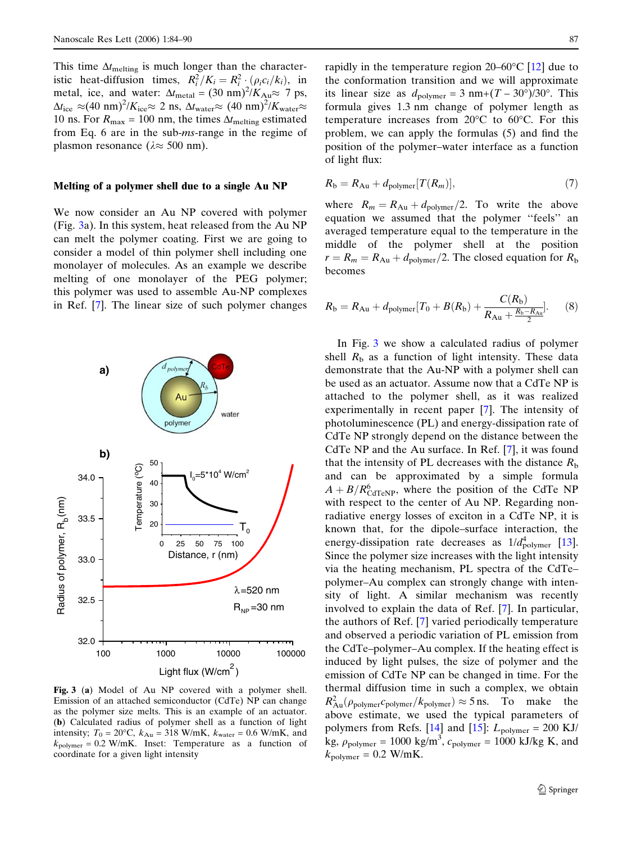This time  $\Delta t_{\text{melting}}$  is much longer than the characteristic heat-diffusion times,  $R_i^2/K_i = R_i^2 \cdot (\rho_i c_i/k_i)$ , in metal, ice, and water:  $\Delta t_{\text{metal}} = (30 \text{ nm})^2/K_{\text{Au}} \approx 7 \text{ ps},$  $\Delta t_{\text{ice}} \approx (40 \text{ nm})^2$ / $K_{\text{ice}} \approx 2 \text{ ns}$ ,  $\Delta t_{\text{water}} \approx (40 \text{ nm})^2$ / $K_{\text{water}} \approx$ 10 ns. For  $R_{\text{max}} = 100$  nm, the times  $\Delta t_{\text{melting}}$  estimated from Eq. 6 are in the sub-ms-range in the regime of plasmon resonance ( $\lambda \approx 500$  nm).

#### Melting of a polymer shell due to a single Au NP

We now consider an Au NP covered with polymer (Fig. 3a). In this system, heat released from the Au NP can melt the polymer coating. First we are going to consider a model of thin polymer shell including one monolayer of molecules. As an example we describe melting of one monolayer of the PEG polymer; this polymer was used to assemble Au-NP complexes in Ref. [[7\]](#page-6-0). The linear size of such polymer changes



Fig. 3 (a) Model of Au NP covered with a polymer shell. Emission of an attached semiconductor (CdTe) NP can change as the polymer size melts. This is an example of an actuator. (b) Calculated radius of polymer shell as a function of light intensity;  $T_0 = 20$ °C,  $k_{Au} = 318$  W/mK,  $k_{water} = 0.6$  W/mK, and  $k_{\text{polymer}} = 0.2 \text{ W/mK}$ . Inset: Temperature as a function of coordinate for a given light intensity

rapidly in the temperature region  $20-60^{\circ}$ C [[12\]](#page-6-0) due to the conformation transition and we will approximate its linear size as  $d_{\text{polymer}} = 3 \text{ nm} + (T - 30^{\circ})/30^{\circ}$ . This formula gives 1.3 nm change of polymer length as temperature increases from  $20^{\circ}$ C to  $60^{\circ}$ C. For this problem, we can apply the formulas (5) and find the position of the polymer–water interface as a function of light flux:

$$
R_{\rm b} = R_{\rm Au} + d_{\rm polymer}[T(R_m)],\tag{7}
$$

where  $R_m = R_{Au} + d_{\text{polymer}}/2$ . To write the above equation we assumed that the polymer ''feels'' an averaged temperature equal to the temperature in the middle of the polymer shell at the position  $r = R_m = R_{Au} + d_{\text{polymer}}/2$ . The closed equation for  $R_b$ becomes

$$
R_{\rm b} = R_{\rm Au} + d_{\rm polymer} [T_0 + B(R_{\rm b}) + \frac{C(R_{\rm b})}{R_{\rm Au} + \frac{R_{\rm b} - R_{\rm Au}}{2}}].
$$
 (8)

In Fig. 3 we show a calculated radius of polymer shell  $R<sub>b</sub>$  as a function of light intensity. These data demonstrate that the Au-NP with a polymer shell can be used as an actuator. Assume now that a CdTe NP is attached to the polymer shell, as it was realized experimentally in recent paper [\[7](#page-6-0)]. The intensity of photoluminescence (PL) and energy-dissipation rate of CdTe NP strongly depend on the distance between the CdTe NP and the Au surface. In Ref. [\[7](#page-6-0)], it was found that the intensity of PL decreases with the distance  $R<sub>b</sub>$ and can be approximated by a simple formula  $A + B/R_{\text{CdTeV}}^6$ , where the position of the CdTe NP with respect to the center of Au NP. Regarding nonradiative energy losses of exciton in a CdTe NP, it is known that, for the dipole–surface interaction, the energy-dissipation rate decreases as  $1/d_{\text{polymer}}^4$  [[13\]](#page-6-0). Since the polymer size increases with the light intensity via the heating mechanism, PL spectra of the CdTe– polymer–Au complex can strongly change with intensity of light. A similar mechanism was recently involved to explain the data of Ref. [[7\]](#page-6-0). In particular, the authors of Ref. [[7\]](#page-6-0) varied periodically temperature and observed a periodic variation of PL emission from the CdTe–polymer–Au complex. If the heating effect is induced by light pulses, the size of polymer and the emission of CdTe NP can be changed in time. For the thermal diffusion time in such a complex, we obtain  $R_{\text{Au}}^2(\rho_{\text{polymer}}c_{\text{polymer}}/k_{\text{polymer}}) \approx 5 \text{ ns.}$  To make the above estimate, we used the typical parameters of polymers from Refs. [[14\]](#page-6-0) and [[15\]](#page-6-0):  $L_{\text{polymer}} = 200 \text{ KJ}$ / kg,  $\rho_{\text{polymer}} = 1000 \text{ kg/m}^3$ ,  $c_{\text{polymer}} = 1000 \text{ kJ/kg K}$ , and  $k_{\text{polymer}} = 0.2 \text{ W/mK}.$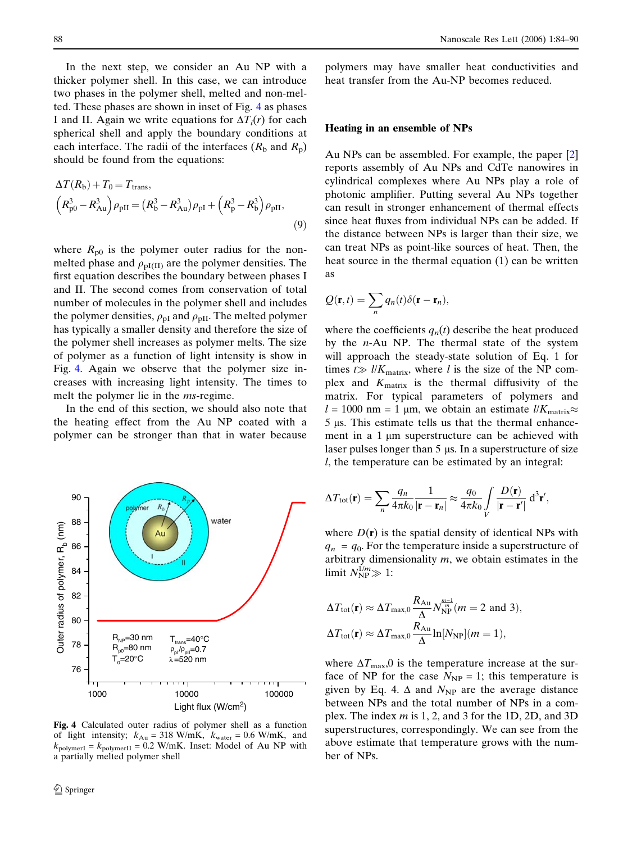In the next step, we consider an Au NP with a thicker polymer shell. In this case, we can introduce two phases in the polymer shell, melted and non-melted. These phases are shown in inset of Fig. 4 as phases I and II. Again we write equations for  $\Delta T_i(r)$  for each spherical shell and apply the boundary conditions at each interface. The radii of the interfaces  $(R_b \text{ and } R_p)$ should be found from the equations:

$$
\Delta T(R_{\rm b}) + T_0 = T_{\rm trans},
$$
  
\n
$$
(R_{\rm p0}^3 - R_{\rm Au}^3) \rho_{\rm pII} = (R_{\rm b}^3 - R_{\rm Au}^3) \rho_{\rm pI} + (R_{\rm p}^3 - R_{\rm b}^3) \rho_{\rm pII},
$$
\n(9)

where  $R_{p0}$  is the polymer outer radius for the nonmelted phase and  $\rho_{\text{pI(II)}}$  are the polymer densities. The first equation describes the boundary between phases I and II. The second comes from conservation of total number of molecules in the polymer shell and includes the polymer densities,  $\rho_{\text{pI}}$  and  $\rho_{\text{pII}}$ . The melted polymer has typically a smaller density and therefore the size of the polymer shell increases as polymer melts. The size of polymer as a function of light intensity is show in Fig. 4. Again we observe that the polymer size increases with increasing light intensity. The times to melt the polymer lie in the *ms*-regime.

In the end of this section, we should also note that the heating effect from the Au NP coated with a polymer can be stronger than that in water because



Fig. 4 Calculated outer radius of polymer shell as a function of light intensity;  $k_{Au} = 318 \text{ W/mK}, k_{water} = 0.6 \text{ W/mK}, \text{ and}$  $k_{\text{polymerI}} = k_{\text{polymerII}} = 0.2 \text{ W/mK. Inset: Model of Au NP with}$ a partially melted polymer shell

polymers may have smaller heat conductivities and heat transfer from the Au-NP becomes reduced.

### Heating in an ensemble of NPs

Au NPs can be assembled. For example, the paper [\[2](#page-6-0)] reports assembly of Au NPs and CdTe nanowires in cylindrical complexes where Au NPs play a role of photonic amplifier. Putting several Au NPs together can result in stronger enhancement of thermal effects since heat fluxes from individual NPs can be added. If the distance between NPs is larger than their size, we can treat NPs as point-like sources of heat. Then, the heat source in the thermal equation (1) can be written as

$$
Q(\mathbf{r},t)=\sum_{n}q_{n}(t)\delta(\mathbf{r}-\mathbf{r}_{n}),
$$

where the coefficients  $q_n(t)$  describe the heat produced by the  $n-Au$  NP. The thermal state of the system will approach the steady-state solution of Eq. 1 for times  $t \gg l/K_{\text{matrix}}$ , where l is the size of the NP complex and  $K_{\text{matrix}}$  is the thermal diffusivity of the matrix. For typical parameters of polymers and  $l = 1000$  nm = 1 µm, we obtain an estimate  $l/K_{\text{matrix}} \approx$  $5 \mu s$ . This estimate tells us that the thermal enhancement in a 1  $\mu$ m superstructure can be achieved with laser pulses longer than  $5 \mu s$ . In a superstructure of size l, the temperature can be estimated by an integral:

$$
\Delta T_{\text{tot}}(\mathbf{r}) = \sum_{n} \frac{q_n}{4\pi k_0} \frac{1}{|\mathbf{r} - \mathbf{r}_n|} \approx \frac{q_0}{4\pi k_0} \int\limits_{V} \frac{D(\mathbf{r})}{|\mathbf{r} - \mathbf{r}'|} \, \mathrm{d}^3 \mathbf{r}',
$$

where  $D(r)$  is the spatial density of identical NPs with  $q_n = q_0$ . For the temperature inside a superstructure of arbitrary dimensionality  $m$ , we obtain estimates in the limit  $N_{\rm NP}^{1/m} \gg 1$ :

$$
\Delta T_{\text{tot}}(\mathbf{r}) \approx \Delta T_{\text{max},0} \frac{R_{\text{Au}}}{\Delta} N_{\text{NP}}^{\frac{m-1}{m}} (m = 2 \text{ and } 3),
$$
  

$$
\Delta T_{\text{tot}}(\mathbf{r}) \approx \Delta T_{\text{max},0} \frac{R_{\text{Au}}}{\Delta} \ln[N_{\text{NP}}](m = 1),
$$

where  $\Delta T_{\text{max}}$ ,0 is the temperature increase at the surface of NP for the case  $N_{\text{NP}} = 1$ ; this temperature is given by Eq. 4.  $\Delta$  and  $N_{\text{NP}}$  are the average distance between NPs and the total number of NPs in a complex. The index  $m$  is 1, 2, and 3 for the 1D, 2D, and 3D superstructures, correspondingly. We can see from the above estimate that temperature grows with the number of NPs.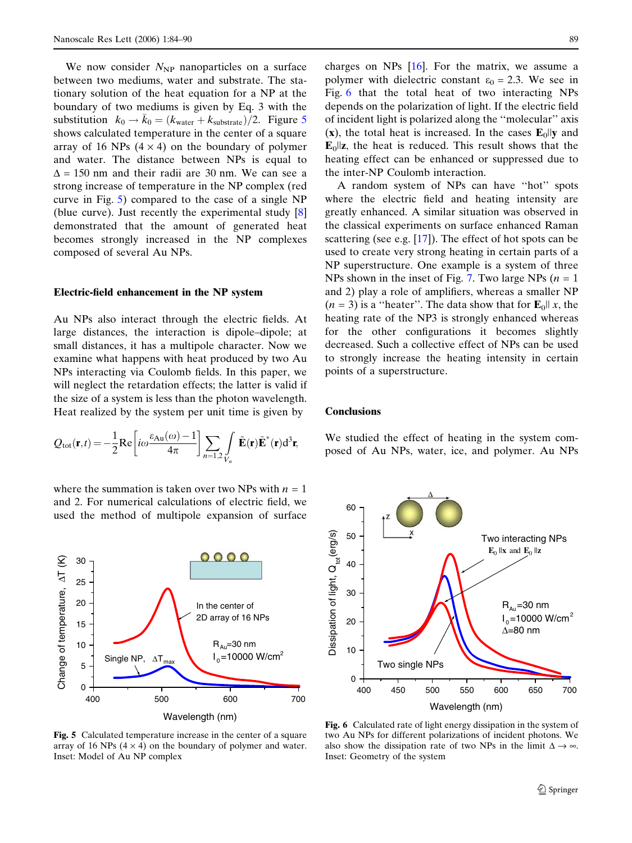We now consider  $N_{\text{NP}}$  nanoparticles on a surface between two mediums, water and substrate. The stationary solution of the heat equation for a NP at the boundary of two mediums is given by Eq. 3 with the substitution  $k_0 \rightarrow \bar{k}_0 = (k_{\text{water}} + k_{\text{substrate}})/2$ . Figure 5 shows calculated temperature in the center of a square array of 16 NPs  $(4 \times 4)$  on the boundary of polymer and water. The distance between NPs is equal to  $\Delta$  = 150 nm and their radii are 30 nm. We can see a strong increase of temperature in the NP complex (red curve in Fig. 5) compared to the case of a single NP (blue curve). Just recently the experimental study [\[8](#page-6-0)] demonstrated that the amount of generated heat becomes strongly increased in the NP complexes composed of several Au NPs.

# Electric-field enhancement in the NP system

Au NPs also interact through the electric fields. At large distances, the interaction is dipole–dipole; at small distances, it has a multipole character. Now we examine what happens with heat produced by two Au NPs interacting via Coulomb fields. In this paper, we will neglect the retardation effects; the latter is valid if the size of a system is less than the photon wavelength. Heat realized by the system per unit time is given by

$$
Q_{\text{tot}}(\mathbf{r},t) = -\frac{1}{2} \text{Re} \left[ i \omega \frac{\varepsilon_{\text{Au}}(\omega) - 1}{4\pi} \right] \sum_{n=1,2} \int_{V_n} \tilde{\mathbf{E}}(\mathbf{r}) \tilde{\mathbf{E}}^*(\mathbf{r}) d^3 \mathbf{r},
$$

where the summation is taken over two NPs with  $n = 1$ and 2. For numerical calculations of electric field, we used the method of multipole expansion of surface



Fig. 5 Calculated temperature increase in the center of a square array of 16 NPs  $(4 \times 4)$  on the boundary of polymer and water. Inset: Model of Au NP complex

charges on NPs  $[16]$  $[16]$ . For the matrix, we assume a polymer with dielectric constant  $\varepsilon_0 = 2.3$ . We see in Fig. 6 that the total heat of two interacting NPs depends on the polarization of light. If the electric field of incident light is polarized along the ''molecular'' axis (x), the total heat is increased. In the cases  $E_0$ lly and  $\mathbf{E}_0$ ||**z**, the heat is reduced. This result shows that the heating effect can be enhanced or suppressed due to the inter-NP Coulomb interaction.

A random system of NPs can have ''hot'' spots where the electric field and heating intensity are greatly enhanced. A similar situation was observed in the classical experiments on surface enhanced Raman scattering (see e.g. [\[17](#page-6-0)]). The effect of hot spots can be used to create very strong heating in certain parts of a NP superstructure. One example is a system of three NPs shown in the inset of Fig. [7](#page-6-0). Two large NPs ( $n = 1$ ) and 2) play a role of amplifiers, whereas a smaller NP  $(n = 3)$  is a "heater". The data show that for  $\mathbf{E}_0 || x$ , the heating rate of the NP3 is strongly enhanced whereas for the other configurations it becomes slightly decreased. Such a collective effect of NPs can be used to strongly increase the heating intensity in certain points of a superstructure.

### **Conclusions**

We studied the effect of heating in the system composed of Au NPs, water, ice, and polymer. Au NPs



Fig. 6 Calculated rate of light energy dissipation in the system of two Au NPs for different polarizations of incident photons. We also show the dissipation rate of two NPs in the limit  $\Delta \rightarrow \infty$ . Inset: Geometry of the system